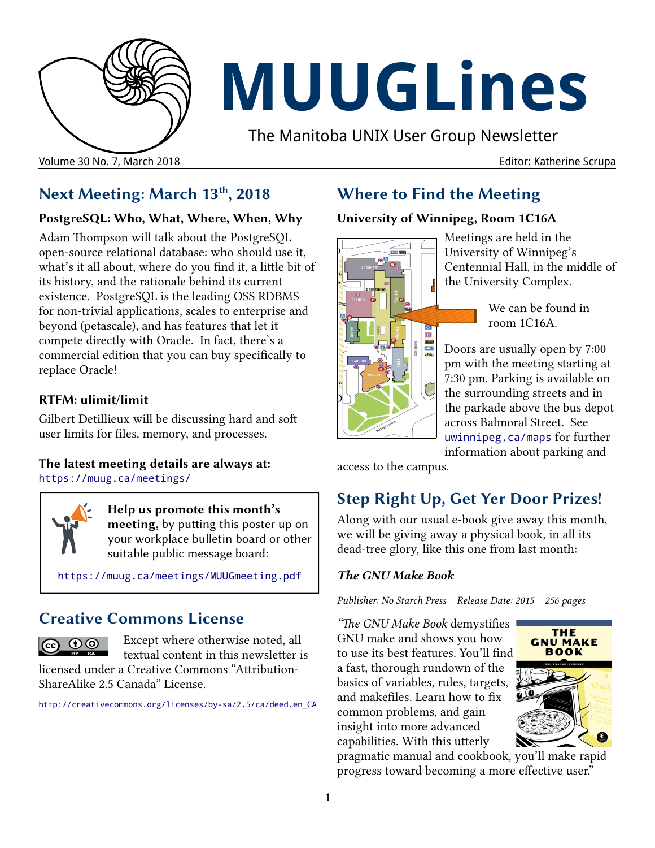

# **MUUGLines**

The Manitoba UNIX User Group Newsletter

# **Next Meeting: March 13th, 2018**

### **PostgreSQL: Who, What, Where, When, Why**

Adam Thompson will talk about the PostgreSQL open-source relational database: who should use it, what's it all about, where do you find it, a little bit of its history, and the rationale behind its current existence. PostgreSQL is the leading OSS RDBMS for non-trivial applications, scales to enterprise and beyond (petascale), and has features that let it compete directly with Oracle. In fact, there's a commercial edition that you can buy specifically to replace Oracle!

### **RTFM: ulimit/limit**

Gilbert Detillieux will be discussing hard and soft user limits for files, memory, and processes.

### **The latest meeting details are always at:** [https://muug.ca/meetings/](https://www.muug.mb.ca/meetings/)

**Help us promote this month's meeting,** by putting this poster up on your workplace bulletin board or other suitable public message board:

<https://muug.ca/meetings/MUUGmeeting.pdf>

# **Creative Commons License**



Except where otherwise noted, all textual content in this newsletter is

licensed under a Creative Commons "Attribution-ShareAlike 2.5 Canada" License.

http:/[/creativecommons.org/licenses/by-sa/2.5/ca/deed.en\\_CA](http://creativecommons.org/licenses/by-sa/2.5/ca/deed.en_CA)

# **Where to Find the Meeting**

### **University of Winnipeg, Room 1C16A**



Meetings are held in the University of Winnipeg's Centennial Hall, in the middle of the University Complex.

> We can be found in room 1C16A.

Doors are usually open by 7:00 pm with the meeting starting at 7:30 pm. Parking is available on the surrounding streets and in the parkade above the bus depot across Balmoral Street. See [uwinnipeg.ca/maps](http://www.uwinnipeg.ca/maps) for further information about parking and

access to the campus.

# **Step Right Up, Get Yer Door Prizes!**

Along with our usual e-book give away this month, we will be giving away a physical book, in all its dead-tree glory, like this one from last month:

### *The GNU Make Book*

*Publisher: No Starch Press Release Date: 2015 256 pages*

*"The GNU Make Book* demystifies GNU make and shows you how to use its best features. You'll find a fast, thorough rundown of the basics of variables, rules, targets, and makefiles. Learn how to fix common problems, and gain insight into more advanced capabilities. With this utterly



pragmatic manual and cookbook, you'll make rapid progress toward becoming a more effective user."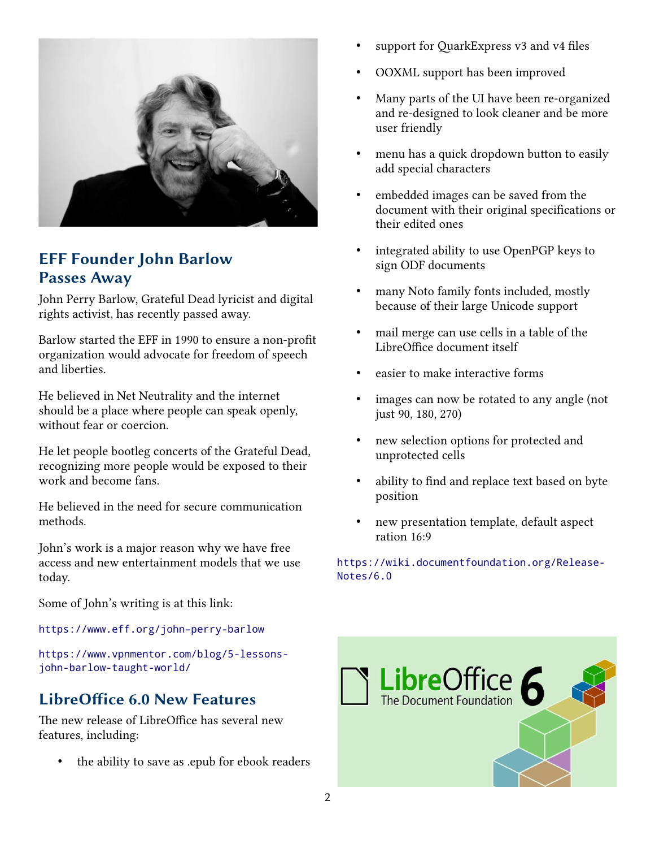

# **EFF Founder John Barlow Passes Away**

John Perry Barlow, Grateful Dead lyricist and digital rights activist, has recently passed away.

Barlow started the EFF in 1990 to ensure a non-profit organization would advocate for freedom of speech and liberties.

He believed in Net Neutrality and the internet should be a place where people can speak openly, without fear or coercion.

He let people bootleg concerts of the Grateful Dead, recognizing more people would be exposed to their work and become fans.

He believed in the need for secure communication methods.

John's work is a major reason why we have free access and new entertainment models that we use today.

Some of John's writing is at this link:

<https://www.eff.org/john-perry-barlow>

[https://www.vpnmentor.com/blog/5-lessons](https://www.vpnmentor.com/blog/5-lessons-john-barlow-taught-world/)[john-barlow-taught-world/](https://www.vpnmentor.com/blog/5-lessons-john-barlow-taught-world/)

# **LibreOffice 6.0 New Features**

The new release of LibreOffice has several new features, including:

the ability to save as .epub for ebook readers

- support for QuarkExpress v3 and v4 files
- OOXML support has been improved
- Many parts of the UI have been re-organized and re-designed to look cleaner and be more user friendly
- menu has a quick dropdown button to easily add special characters
- embedded images can be saved from the document with their original specifications or their edited ones
- integrated ability to use OpenPGP keys to sign ODF documents
- many Noto family fonts included, mostly because of their large Unicode support
- mail merge can use cells in a table of the LibreOffice document itself
- easier to make interactive forms
- images can now be rotated to any angle (not just 90, 180, 270)
- new selection options for protected and unprotected cells
- ability to find and replace text based on byte position
- new presentation template, default aspect ration 16:9

[https://wiki.documentfoundation.org/Release-](https://wiki.documentfoundation.org/ReleaseNotes/6.0)[Notes/6.0](https://wiki.documentfoundation.org/ReleaseNotes/6.0)

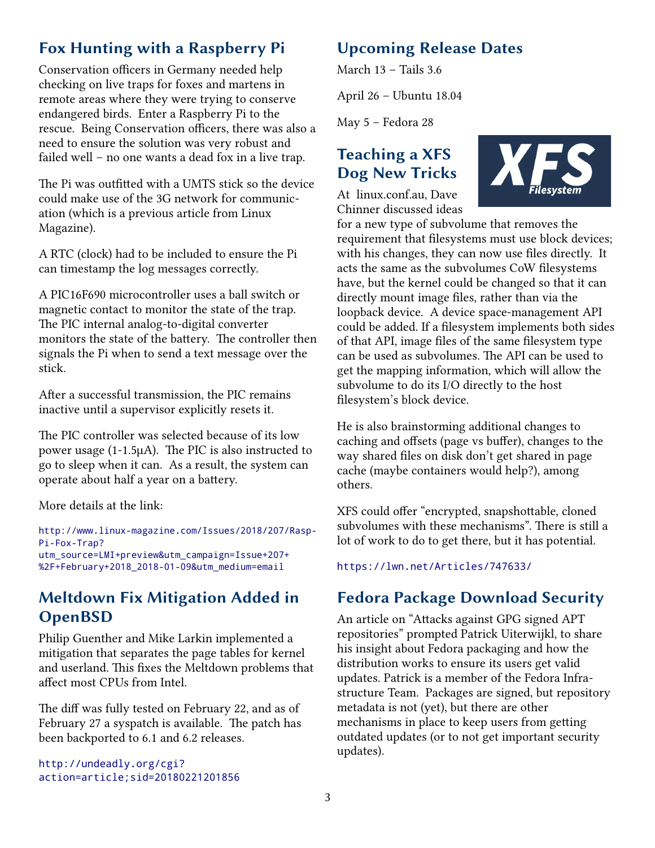# **Fox Hunting with a Raspberry Pi**

Conservation officers in Germany needed help checking on live traps for foxes and martens in remote areas where they were trying to conserve endangered birds. Enter a Raspberry Pi to the rescue. Being Conservation officers, there was also a need to ensure the solution was very robust and failed well – no one wants a dead fox in a live trap.

The Pi was outfitted with a UMTS stick so the device could make use of the 3G network for communication (which is a previous article from Linux Magazine).

A RTC (clock) had to be included to ensure the Pi can timestamp the log messages correctly.

A PIC16F690 microcontroller uses a ball switch or magnetic contact to monitor the state of the trap. The PIC internal analog-to-digital converter monitors the state of the battery. The controller then signals the Pi when to send a text message over the stick.

After a successful transmission, the PIC remains inactive until a supervisor explicitly resets it.

The PIC controller was selected because of its low power usage (1-1.5µA). The PIC is also instructed to go to sleep when it can. As a result, the system can operate about half a year on a battery.

More details at the link:

[http://www.linux-magazine.com/Issues/2018/207/Rasp-](http://www.linux-magazine.com/Issues/2018/207/Rasp-Pi-Fox-Trap?utm_source=LMI+preview&utm_campaign=Issue+207+%2F+February+2018_2018-01-09&utm_medium=email)Pi-Fox-Trap? [utm\\_source=LMI+preview&utm\\_campaign=Issue+207+](http://www.linux-magazine.com/Issues/2018/207/Rasp-Pi-Fox-Trap?utm_source=LMI+preview&utm_campaign=Issue+207+%2F+February+2018_2018-01-09&utm_medium=email) [%2F+February+2018\\_2018-01-09&utm\\_medium=email](http://www.linux-magazine.com/Issues/2018/207/Rasp-Pi-Fox-Trap?utm_source=LMI+preview&utm_campaign=Issue+207+%2F+February+2018_2018-01-09&utm_medium=email)

# **Meltdown Fix Mitigation Added in OpenBSD**

Philip Guenther and Mike Larkin implemented a mitigation that separates the page tables for kernel and userland. This fixes the Meltdown problems that affect most CPUs from Intel.

The diff was fully tested on February 22, and as of February 27 a syspatch is available. The patch has been backported to 6.1 and 6.2 releases.

[http://undeadly.org/cgi?](http://undeadly.org/cgi?action=article;sid=20180221201856) [action=article;sid=20180221201856](http://undeadly.org/cgi?action=article;sid=20180221201856)

## **Upcoming Release Dates**

March 13 – Tails 3.6

April 26 – Ubuntu 18.04

May 5 – Fedora 28

# **Teaching a XFS Dog New Tricks**

At linux.conf.au, Dave Chinner discussed ideas



for a new type of subvolume that removes the requirement that filesystems must use block devices; with his changes, they can now use files directly. It acts the same as the subvolumes CoW filesystems have, but the kernel could be changed so that it can directly mount image files, rather than via the loopback device. A device space-management API could be added. If a filesystem implements both sides of that API, image files of the same filesystem type can be used as subvolumes. The API can be used to get the mapping information, which will allow the subvolume to do its I/O directly to the host filesystem's block device.

He is also brainstorming additional changes to caching and offsets (page vs buffer), changes to the way shared files on disk don't get shared in page cache (maybe containers would help?), among others.

XFS could offer "encrypted, snapshottable, cloned subvolumes with these mechanisms". There is still a lot of work to do to get there, but it has potential.

<https://lwn.net/Articles/747633/>

# **Fedora Package Download Security**

An article on "Attacks against GPG signed APT repositories" prompted Patrick Uiterwijkl, to share his insight about Fedora packaging and how the distribution works to ensure its users get valid updates. Patrick is a member of the Fedora Infrastructure Team. Packages are signed, but repository metadata is not (yet), but there are other mechanisms in place to keep users from getting outdated updates (or to not get important security updates).